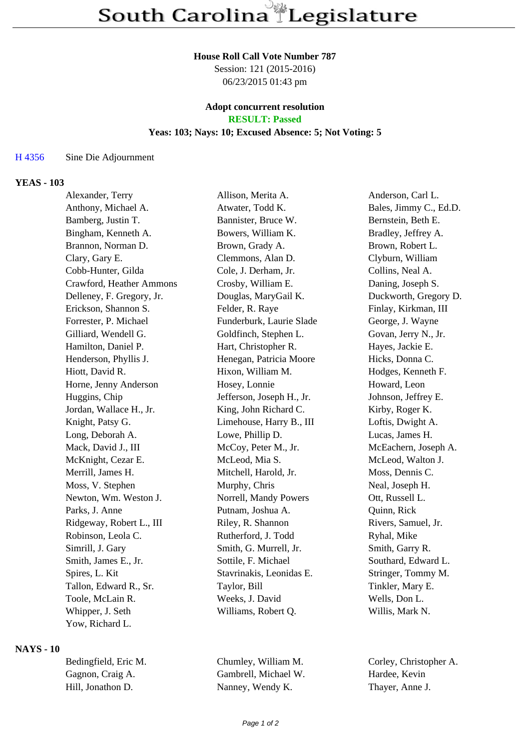## **House Roll Call Vote Number 787**

Session: 121 (2015-2016) 06/23/2015 01:43 pm

# **Adopt concurrent resolution**

**RESULT: Passed**

## **Yeas: 103; Nays: 10; Excused Absence: 5; Not Voting: 5**

#### H 4356 Sine Die Adjournment

#### **YEAS - 103**

| Alexander, Terry          | Allison, Merita A.        | Anderson, Carl L.      |
|---------------------------|---------------------------|------------------------|
| Anthony, Michael A.       | Atwater, Todd K.          | Bales, Jimmy C., Ed.D. |
| Bamberg, Justin T.        | Bannister, Bruce W.       | Bernstein, Beth E.     |
| Bingham, Kenneth A.       | Bowers, William K.        | Bradley, Jeffrey A.    |
| Brannon, Norman D.        | Brown, Grady A.           | Brown, Robert L.       |
| Clary, Gary E.            | Clemmons, Alan D.         | Clyburn, William       |
| Cobb-Hunter, Gilda        | Cole, J. Derham, Jr.      | Collins, Neal A.       |
| Crawford, Heather Ammons  | Crosby, William E.        | Daning, Joseph S.      |
| Delleney, F. Gregory, Jr. | Douglas, MaryGail K.      | Duckworth, Gregory D.  |
| Erickson, Shannon S.      | Felder, R. Raye           | Finlay, Kirkman, III   |
| Forrester, P. Michael     | Funderburk, Laurie Slade  | George, J. Wayne       |
| Gilliard, Wendell G.      | Goldfinch, Stephen L.     | Govan, Jerry N., Jr.   |
| Hamilton, Daniel P.       | Hart, Christopher R.      | Hayes, Jackie E.       |
| Henderson, Phyllis J.     | Henegan, Patricia Moore   | Hicks, Donna C.        |
| Hiott, David R.           | Hixon, William M.         | Hodges, Kenneth F.     |
| Horne, Jenny Anderson     | Hosey, Lonnie             | Howard, Leon           |
| Huggins, Chip             | Jefferson, Joseph H., Jr. | Johnson, Jeffrey E.    |
| Jordan, Wallace H., Jr.   | King, John Richard C.     | Kirby, Roger K.        |
| Knight, Patsy G.          | Limehouse, Harry B., III  | Loftis, Dwight A.      |
| Long, Deborah A.          | Lowe, Phillip D.          | Lucas, James H.        |
| Mack, David J., III       | McCoy, Peter M., Jr.      | McEachern, Joseph A.   |
| McKnight, Cezar E.        | McLeod, Mia S.            | McLeod, Walton J.      |
| Merrill, James H.         | Mitchell, Harold, Jr.     | Moss, Dennis C.        |
| Moss, V. Stephen          | Murphy, Chris             | Neal, Joseph H.        |
| Newton, Wm. Weston J.     | Norrell, Mandy Powers     | Ott, Russell L.        |
| Parks, J. Anne            | Putnam, Joshua A.         | Quinn, Rick            |
| Ridgeway, Robert L., III  | Riley, R. Shannon         | Rivers, Samuel, Jr.    |
| Robinson, Leola C.        | Rutherford, J. Todd       | Ryhal, Mike            |
| Simrill, J. Gary          | Smith, G. Murrell, Jr.    | Smith, Garry R.        |
| Smith, James E., Jr.      | Sottile, F. Michael       | Southard, Edward L.    |
| Spires, L. Kit            | Stavrinakis, Leonidas E.  | Stringer, Tommy M.     |
| Tallon, Edward R., Sr.    | Taylor, Bill              | Tinkler, Mary E.       |
| Toole, McLain R.          | Weeks, J. David           | Wells, Don L.          |
| Whipper, J. Seth          | Williams, Robert Q.       | Willis, Mark N.        |
| Yow, Richard L.           |                           |                        |

#### **NAYS - 10**

| Bedingfield, Eric M. | Chumley, William M.  | Corley, Christop |
|----------------------|----------------------|------------------|
| Gagnon, Craig A.     | Gambrell, Michael W. | Hardee, Kevin    |
| Hill, Jonathon D.    | Nanney, Wendy K.     | Thayer, Anne J.  |

'hristopher A.